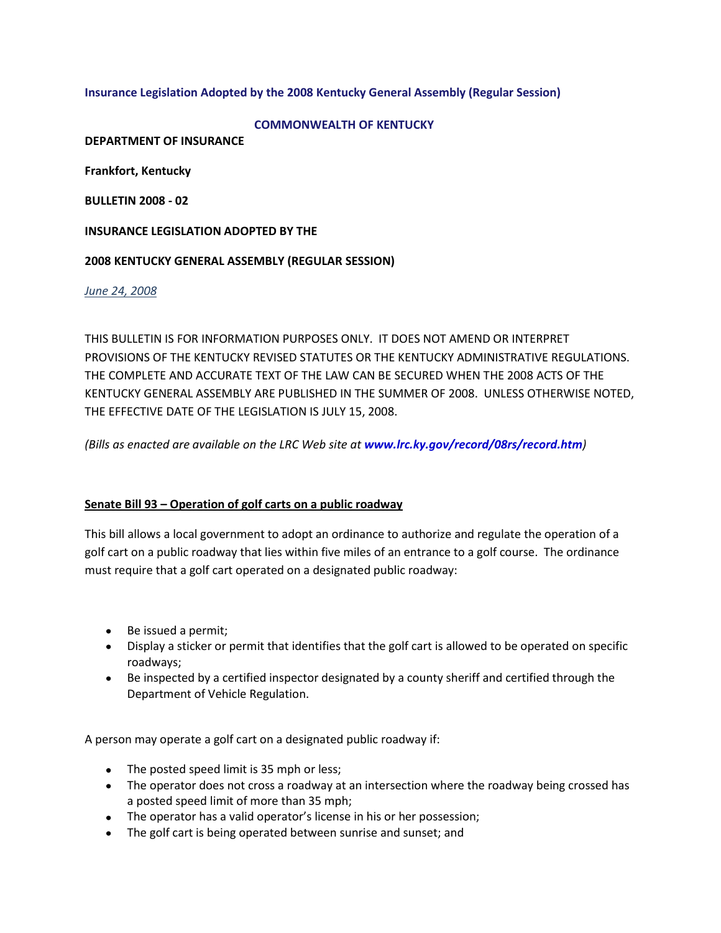### **Insurance Legislation Adopted by the 2008 Kentucky General Assembly (Regular Session)**

#### **COMMONWEALTH OF KENTUCKY**

**DEPARTMENT OF INSURANCE**

**Frankfort, Kentucky**

**BULLETIN 2008 - 02**

#### **INSURANCE LEGISLATION ADOPTED BY THE**

#### **2008 KENTUCKY GENERAL ASSEMBLY (REGULAR SESSION)**

*June 24, 2008*

THIS BULLETIN IS FOR INFORMATION PURPOSES ONLY. IT DOES NOT AMEND OR INTERPRET PROVISIONS OF THE KENTUCKY REVISED STATUTES OR THE KENTUCKY ADMINISTRATIVE REGULATIONS. THE COMPLETE AND ACCURATE TEXT OF THE LAW CAN BE SECURED WHEN THE 2008 ACTS OF THE KENTUCKY GENERAL ASSEMBLY ARE PUBLISHED IN THE SUMMER OF 2008. UNLESS OTHERWISE NOTED, THE EFFECTIVE DATE OF THE LEGISLATION IS JULY 15, 2008.

*(Bills as enacted are available on the LRC Web site at [www.lrc.ky.gov/record/08rs/record.htm](http://www.lrc.ky.gov/record/08rs/record.htm))*

#### **Senate Bill 93 – Operation of golf carts on a public roadway**

This bill allows a local government to adopt an ordinance to authorize and regulate the operation of a golf cart on a public roadway that lies within five miles of an entrance to a golf course. The ordinance must require that a golf cart operated on a designated public roadway:

- Be issued a permit;
- Display a sticker or permit that identifies that the golf cart is allowed to be operated on specific roadways;
- Be inspected by a certified inspector designated by a county sheriff and certified through the Department of Vehicle Regulation.

A person may operate a golf cart on a designated public roadway if:

- The posted speed limit is 35 mph or less;
- The operator does not cross a roadway at an intersection where the roadway being crossed has a posted speed limit of more than 35 mph;
- The operator has a valid operator's license in his or her possession;
- The golf cart is being operated between sunrise and sunset; and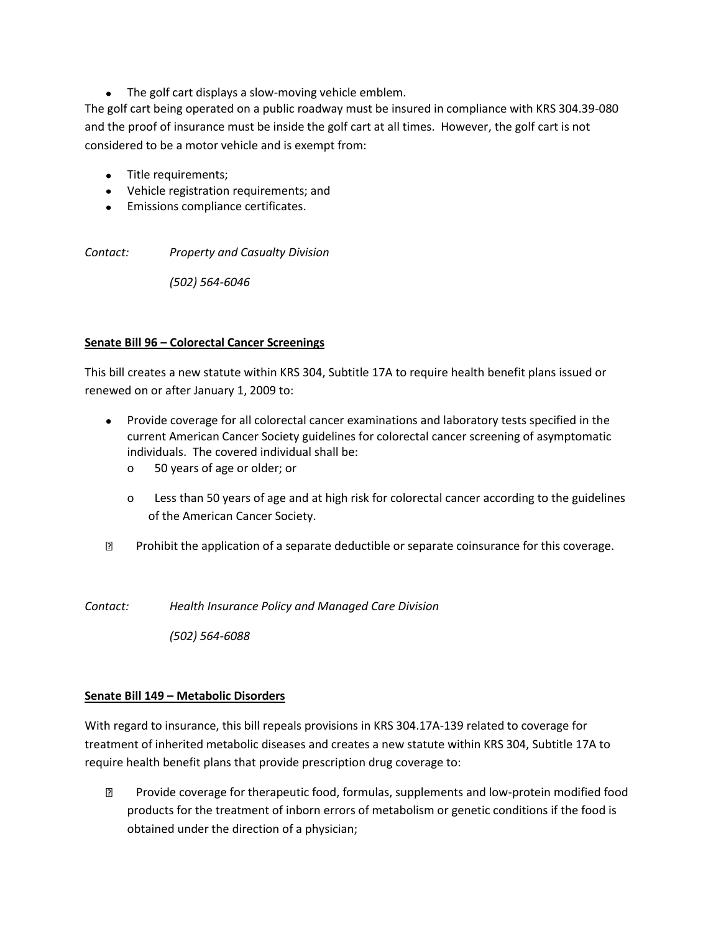• The golf cart displays a slow-moving vehicle emblem.

The golf cart being operated on a public roadway must be insured in compliance with KRS 304.39-080 and the proof of insurance must be inside the golf cart at all times. However, the golf cart is not considered to be a motor vehicle and is exempt from:

- Title requirements;
- Vehicle registration requirements; and
- Emissions compliance certificates.

*Contact: Property and Casualty Division*

*(502) 564-6046*

#### **Senate Bill 96 – Colorectal Cancer Screenings**

This bill creates a new statute within KRS 304, Subtitle 17A to require health benefit plans issued or renewed on or after January 1, 2009 to:

- Provide coverage for all colorectal cancer examinations and laboratory tests specified in the current American Cancer Society guidelines for colorectal cancer screening of asymptomatic individuals. The covered individual shall be:
	- o 50 years of age or older; or
	- o Less than 50 years of age and at high risk for colorectal cancer according to the guidelines of the American Cancer Society.
- **Prohibit the application of a separate deductible or separate coinsurance for this coverage.**

*Contact: Health Insurance Policy and Managed Care Division*

*(502) 564-6088*

### **Senate Bill 149 – Metabolic Disorders**

With regard to insurance, this bill repeals provisions in KRS 304.17A-139 related to coverage for treatment of inherited metabolic diseases and creates a new statute within KRS 304, Subtitle 17A to require health benefit plans that provide prescription drug coverage to:

 Provide coverage for therapeutic food, formulas, supplements and low-protein modified food products for the treatment of inborn errors of metabolism or genetic conditions if the food is obtained under the direction of a physician;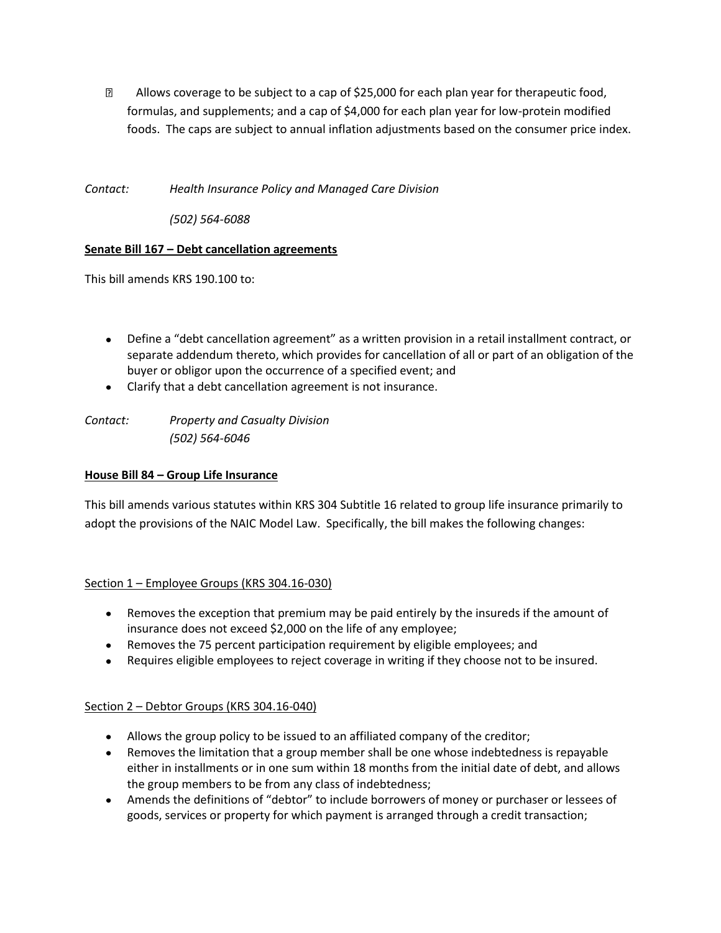**E** Allows coverage to be subject to a cap of \$25,000 for each plan year for therapeutic food, formulas, and supplements; and a cap of \$4,000 for each plan year for low-protein modified foods. The caps are subject to annual inflation adjustments based on the consumer price index.

*Contact: Health Insurance Policy and Managed Care Division*

*(502) 564-6088*

# **Senate Bill 167 – Debt cancellation agreements**

This bill amends KRS 190.100 to:

- Define a "debt cancellation agreement" as a written provision in a retail installment contract, or separate addendum thereto, which provides for cancellation of all or part of an obligation of the buyer or obligor upon the occurrence of a specified event; and
- Clarify that a debt cancellation agreement is not insurance.

*Contact: Property and Casualty Division (502) 564-6046*

### **House Bill 84 – Group Life Insurance**

This bill amends various statutes within KRS 304 Subtitle 16 related to group life insurance primarily to adopt the provisions of the NAIC Model Law. Specifically, the bill makes the following changes:

### Section 1 – Employee Groups (KRS 304.16-030)

- Removes the exception that premium may be paid entirely by the insureds if the amount of insurance does not exceed \$2,000 on the life of any employee;
- Removes the 75 percent participation requirement by eligible employees; and
- Requires eligible employees to reject coverage in writing if they choose not to be insured.

# Section 2 – Debtor Groups (KRS 304.16-040)

- Allows the group policy to be issued to an affiliated company of the creditor;
- Removes the limitation that a group member shall be one whose indebtedness is repayable either in installments or in one sum within 18 months from the initial date of debt, and allows the group members to be from any class of indebtedness;
- Amends the definitions of "debtor" to include borrowers of money or purchaser or lessees of goods, services or property for which payment is arranged through a credit transaction;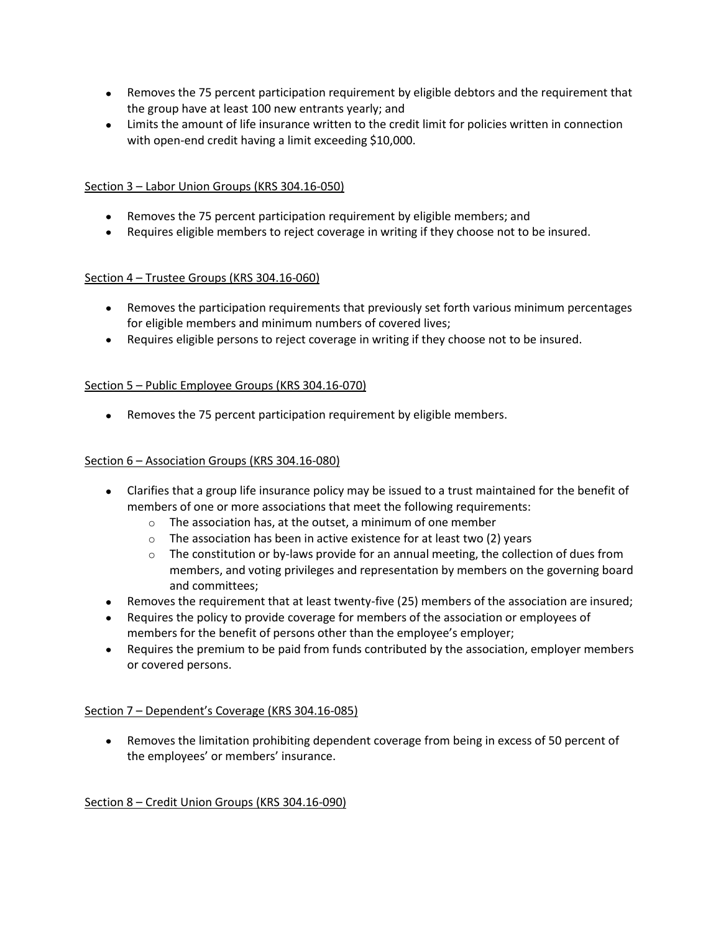- Removes the 75 percent participation requirement by eligible debtors and the requirement that the group have at least 100 new entrants yearly; and
- Limits the amount of life insurance written to the credit limit for policies written in connection with open-end credit having a limit exceeding \$10,000.

## Section 3 – Labor Union Groups (KRS 304.16-050)

- Removes the 75 percent participation requirement by eligible members; and
- Requires eligible members to reject coverage in writing if they choose not to be insured.

## Section 4 – Trustee Groups (KRS 304.16-060)

- Removes the participation requirements that previously set forth various minimum percentages for eligible members and minimum numbers of covered lives;
- Requires eligible persons to reject coverage in writing if they choose not to be insured.

## Section 5 – Public Employee Groups (KRS 304.16-070)

Removes the 75 percent participation requirement by eligible members.

## Section 6 – Association Groups (KRS 304.16-080)

- Clarifies that a group life insurance policy may be issued to a trust maintained for the benefit of members of one or more associations that meet the following requirements:
	- o The association has, at the outset, a minimum of one member
	- o The association has been in active existence for at least two (2) years
	- $\circ$  The constitution or by-laws provide for an annual meeting, the collection of dues from members, and voting privileges and representation by members on the governing board and committees;
- Removes the requirement that at least twenty-five (25) members of the association are insured;
- Requires the policy to provide coverage for members of the association or employees of members for the benefit of persons other than the employee's employer;
- Requires the premium to be paid from funds contributed by the association, employer members or covered persons.

### Section 7 – Dependent's Coverage (KRS 304.16-085)

Removes the limitation prohibiting dependent coverage from being in excess of 50 percent of the employees' or members' insurance.

### Section 8 – Credit Union Groups (KRS 304.16-090)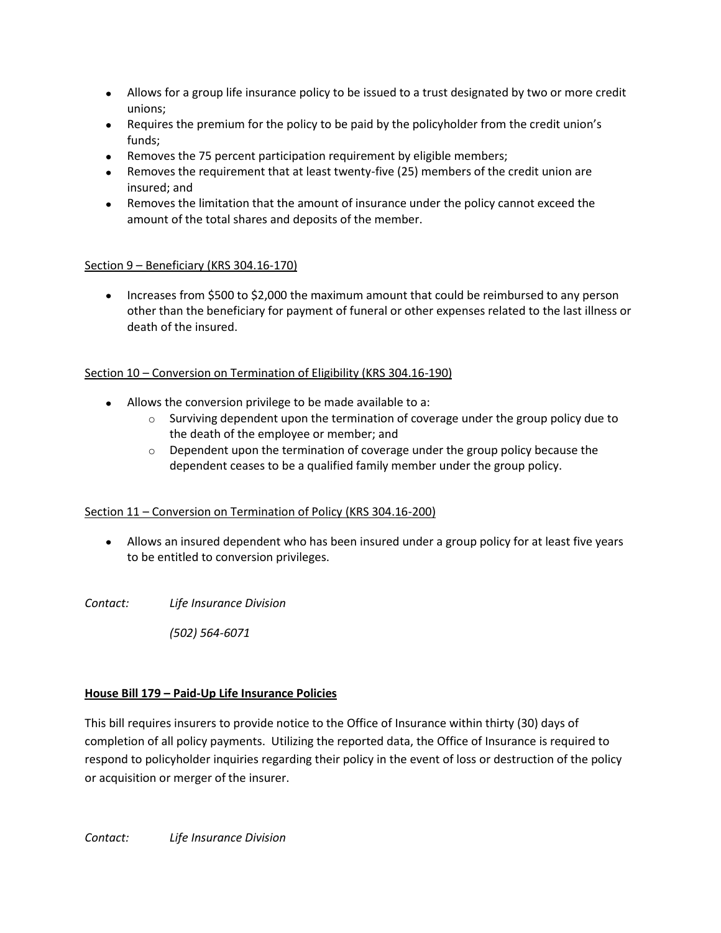- Allows for a group life insurance policy to be issued to a trust designated by two or more credit unions;
- Requires the premium for the policy to be paid by the policyholder from the credit union's funds;
- Removes the 75 percent participation requirement by eligible members;
- Removes the requirement that at least twenty-five (25) members of the credit union are insured; and
- Removes the limitation that the amount of insurance under the policy cannot exceed the amount of the total shares and deposits of the member.

# Section 9 - Beneficiary (KRS 304.16-170)

• Increases from \$500 to \$2,000 the maximum amount that could be reimbursed to any person other than the beneficiary for payment of funeral or other expenses related to the last illness or death of the insured.

# Section 10 – Conversion on Termination of Eligibility (KRS 304.16-190)

- Allows the conversion privilege to be made available to a:
	- $\circ$  Surviving dependent upon the termination of coverage under the group policy due to the death of the employee or member; and
	- $\circ$  Dependent upon the termination of coverage under the group policy because the dependent ceases to be a qualified family member under the group policy.

# Section 11 – Conversion on Termination of Policy (KRS 304.16-200)

Allows an insured dependent who has been insured under a group policy for at least five years to be entitled to conversion privileges.

*Contact: Life Insurance Division*

*(502) 564-6071*

# **House Bill 179 – Paid-Up Life Insurance Policies**

This bill requires insurers to provide notice to the Office of Insurance within thirty (30) days of completion of all policy payments. Utilizing the reported data, the Office of Insurance is required to respond to policyholder inquiries regarding their policy in the event of loss or destruction of the policy or acquisition or merger of the insurer.

*Contact: Life Insurance Division*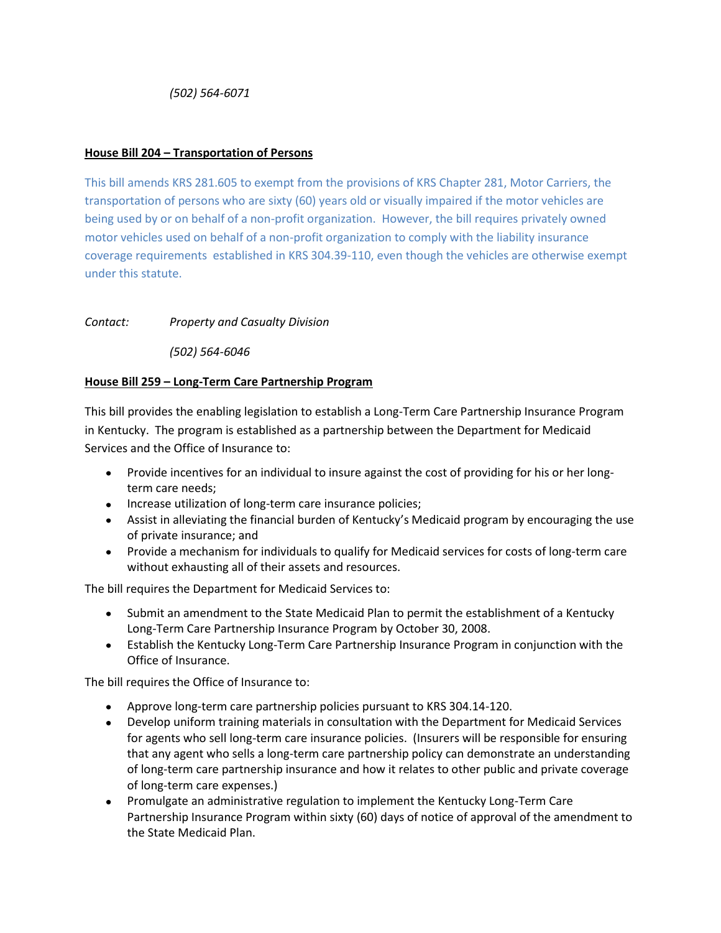*(502) 564-6071*

## **House Bill 204 – Transportation of Persons**

This bill amends KRS 281.605 to exempt from the provisions of KRS Chapter 281, Motor Carriers, the transportation of persons who are sixty (60) years old or visually impaired if the motor vehicles are being used by or on behalf of a non-profit organization. However, the bill requires privately owned motor vehicles used on behalf of a non-profit organization to comply with the liability insurance coverage requirements established in KRS 304.39-110, even though the vehicles are otherwise exempt under this statute.

## *Contact: Property and Casualty Division*

*(502) 564-6046*

## **House Bill 259 – Long-Term Care Partnership Program**

This bill provides the enabling legislation to establish a Long-Term Care Partnership Insurance Program in Kentucky. The program is established as a partnership between the Department for Medicaid Services and the Office of Insurance to:

- Provide incentives for an individual to insure against the cost of providing for his or her longterm care needs;
- Increase utilization of long-term care insurance policies;
- Assist in alleviating the financial burden of Kentucky's Medicaid program by encouraging the use of private insurance; and
- Provide a mechanism for individuals to qualify for Medicaid services for costs of long-term care without exhausting all of their assets and resources.

The bill requires the Department for Medicaid Services to:

- Submit an amendment to the State Medicaid Plan to permit the establishment of a Kentucky Long-Term Care Partnership Insurance Program by October 30, 2008.
- Establish the Kentucky Long-Term Care Partnership Insurance Program in conjunction with the Office of Insurance.

The bill requires the Office of Insurance to:

- Approve long-term care partnership policies pursuant to KRS 304.14-120.
- Develop uniform training materials in consultation with the Department for Medicaid Services for agents who sell long-term care insurance policies. (Insurers will be responsible for ensuring that any agent who sells a long-term care partnership policy can demonstrate an understanding of long-term care partnership insurance and how it relates to other public and private coverage of long-term care expenses.)
- Promulgate an administrative regulation to implement the Kentucky Long-Term Care Partnership Insurance Program within sixty (60) days of notice of approval of the amendment to the State Medicaid Plan.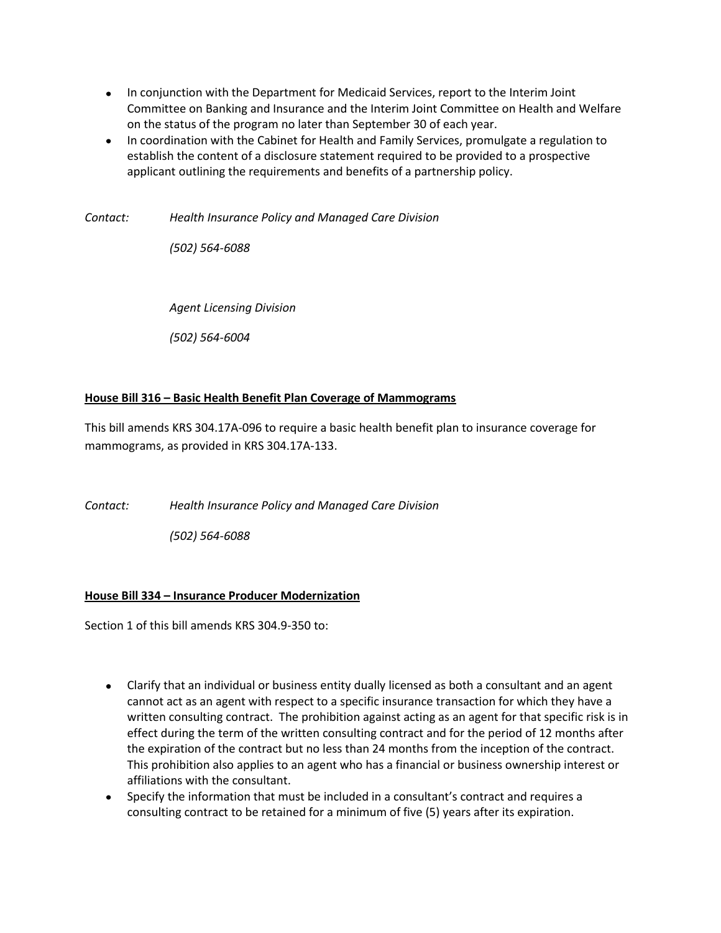- In conjunction with the Department for Medicaid Services, report to the Interim Joint Committee on Banking and Insurance and the Interim Joint Committee on Health and Welfare on the status of the program no later than September 30 of each year.
- In coordination with the Cabinet for Health and Family Services, promulgate a regulation to establish the content of a disclosure statement required to be provided to a prospective applicant outlining the requirements and benefits of a partnership policy.

*Contact: Health Insurance Policy and Managed Care Division*

*(502) 564-6088*

*Agent Licensing Division*

*(502) 564-6004*

## **House Bill 316 – Basic Health Benefit Plan Coverage of Mammograms**

This bill amends KRS 304.17A-096 to require a basic health benefit plan to insurance coverage for mammograms, as provided in KRS 304.17A-133.

*Contact: Health Insurance Policy and Managed Care Division*

*(502) 564-6088*

# **House Bill 334 – Insurance Producer Modernization**

Section 1 of this bill amends KRS 304.9-350 to:

- Clarify that an individual or business entity dually licensed as both a consultant and an agent cannot act as an agent with respect to a specific insurance transaction for which they have a written consulting contract. The prohibition against acting as an agent for that specific risk is in effect during the term of the written consulting contract and for the period of 12 months after the expiration of the contract but no less than 24 months from the inception of the contract. This prohibition also applies to an agent who has a financial or business ownership interest or affiliations with the consultant.
- Specify the information that must be included in a consultant's contract and requires a consulting contract to be retained for a minimum of five (5) years after its expiration.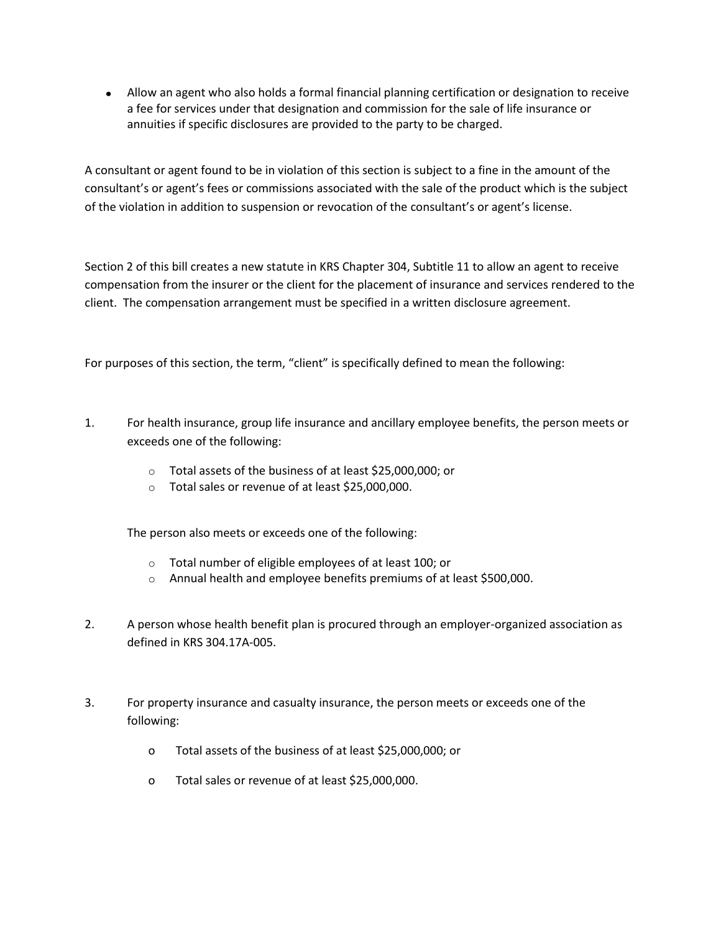Allow an agent who also holds a formal financial planning certification or designation to receive a fee for services under that designation and commission for the sale of life insurance or annuities if specific disclosures are provided to the party to be charged.

A consultant or agent found to be in violation of this section is subject to a fine in the amount of the consultant's or agent's fees or commissions associated with the sale of the product which is the subject of the violation in addition to suspension or revocation of the consultant's or agent's license.

Section 2 of this bill creates a new statute in KRS Chapter 304, Subtitle 11 to allow an agent to receive compensation from the insurer or the client for the placement of insurance and services rendered to the client. The compensation arrangement must be specified in a written disclosure agreement.

For purposes of this section, the term, "client" is specifically defined to mean the following:

- 1. For health insurance, group life insurance and ancillary employee benefits, the person meets or exceeds one of the following:
	- o Total assets of the business of at least \$25,000,000; or
	- o Total sales or revenue of at least \$25,000,000.

The person also meets or exceeds one of the following:

- o Total number of eligible employees of at least 100; or
- o Annual health and employee benefits premiums of at least \$500,000.
- 2. A person whose health benefit plan is procured through an employer-organized association as defined in KRS 304.17A-005.
- 3. For property insurance and casualty insurance, the person meets or exceeds one of the following:
	- o Total assets of the business of at least \$25,000,000; or
	- o Total sales or revenue of at least \$25,000,000.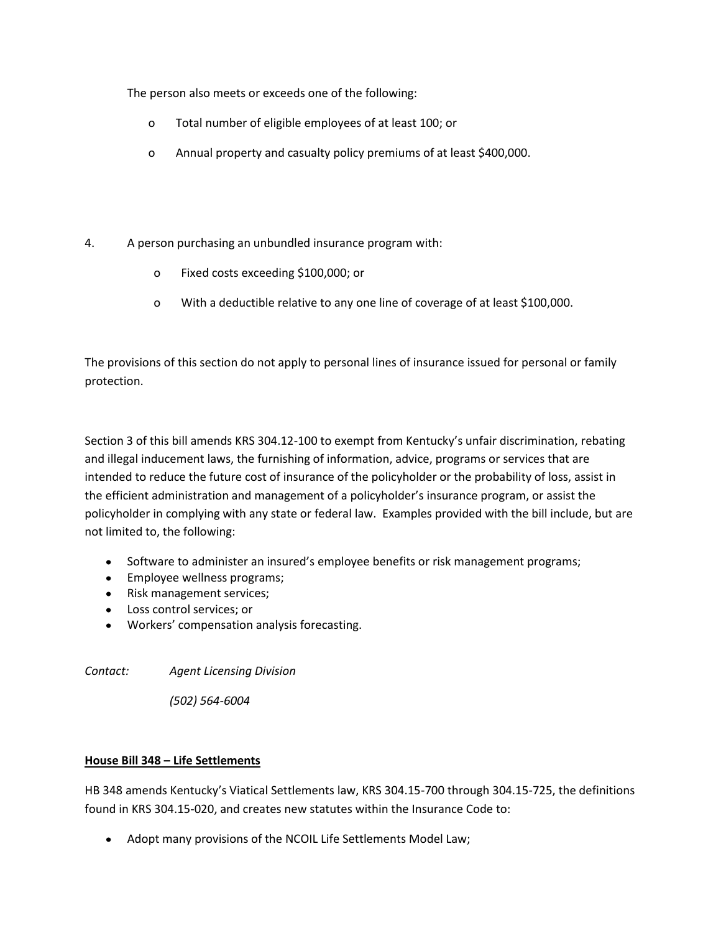The person also meets or exceeds one of the following:

- o Total number of eligible employees of at least 100; or
- o Annual property and casualty policy premiums of at least \$400,000.
- 4. A person purchasing an unbundled insurance program with:
	- o Fixed costs exceeding \$100,000; or
	- o With a deductible relative to any one line of coverage of at least \$100,000.

The provisions of this section do not apply to personal lines of insurance issued for personal or family protection.

Section 3 of this bill amends KRS 304.12-100 to exempt from Kentucky's unfair discrimination, rebating and illegal inducement laws, the furnishing of information, advice, programs or services that are intended to reduce the future cost of insurance of the policyholder or the probability of loss, assist in the efficient administration and management of a policyholder's insurance program, or assist the policyholder in complying with any state or federal law. Examples provided with the bill include, but are not limited to, the following:

- Software to administer an insured's employee benefits or risk management programs;
- Employee wellness programs;
- Risk management services;
- Loss control services; or
- Workers' compensation analysis forecasting.

*Contact: Agent Licensing Division*

*(502) 564-6004*

# **House Bill 348 – Life Settlements**

HB 348 amends Kentucky's Viatical Settlements law, KRS 304.15-700 through 304.15-725, the definitions found in KRS 304.15-020, and creates new statutes within the Insurance Code to:

Adopt many provisions of the NCOIL Life Settlements Model Law;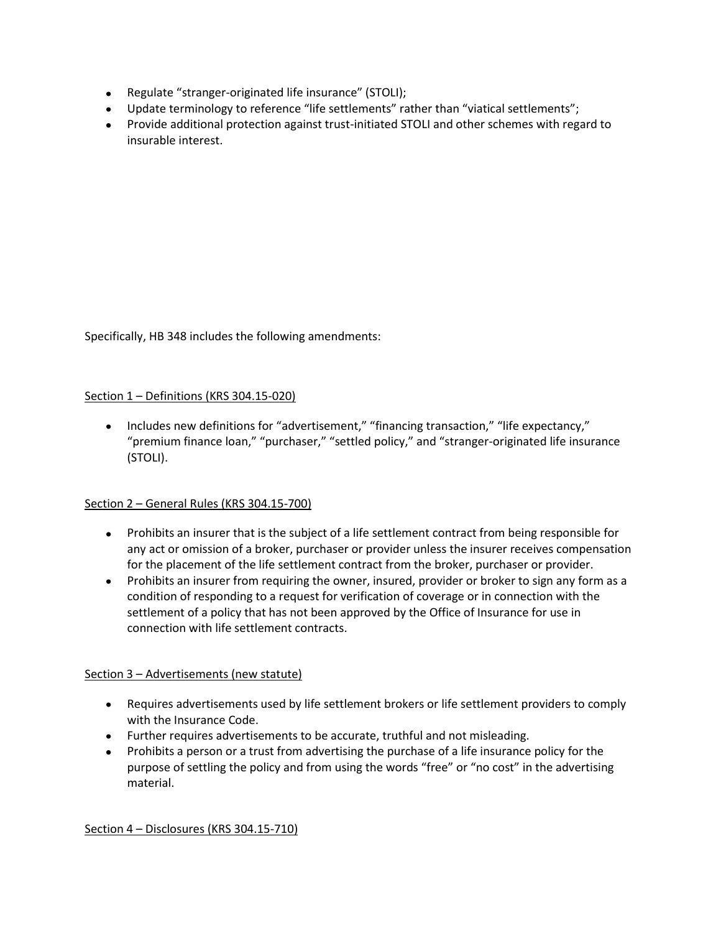- Regulate "stranger-originated life insurance" (STOLI);
- Update terminology to reference "life settlements" rather than "viatical settlements";
- Provide additional protection against trust-initiated STOLI and other schemes with regard to insurable interest.

Specifically, HB 348 includes the following amendments:

### Section 1 – Definitions (KRS 304.15-020)

• Includes new definitions for "advertisement," "financing transaction," "life expectancy," "premium finance loan," "purchaser," "settled policy," and "stranger-originated life insurance (STOLI).

### Section 2 – General Rules (KRS 304.15-700)

- Prohibits an insurer that is the subject of a life settlement contract from being responsible for any act or omission of a broker, purchaser or provider unless the insurer receives compensation for the placement of the life settlement contract from the broker, purchaser or provider.
- Prohibits an insurer from requiring the owner, insured, provider or broker to sign any form as a condition of responding to a request for verification of coverage or in connection with the settlement of a policy that has not been approved by the Office of Insurance for use in connection with life settlement contracts.

### Section 3 – Advertisements (new statute)

- Requires advertisements used by life settlement brokers or life settlement providers to comply with the Insurance Code.
- Further requires advertisements to be accurate, truthful and not misleading.
- Prohibits a person or a trust from advertising the purchase of a life insurance policy for the purpose of settling the policy and from using the words "free" or "no cost" in the advertising material.

Section 4 – Disclosures (KRS 304.15-710)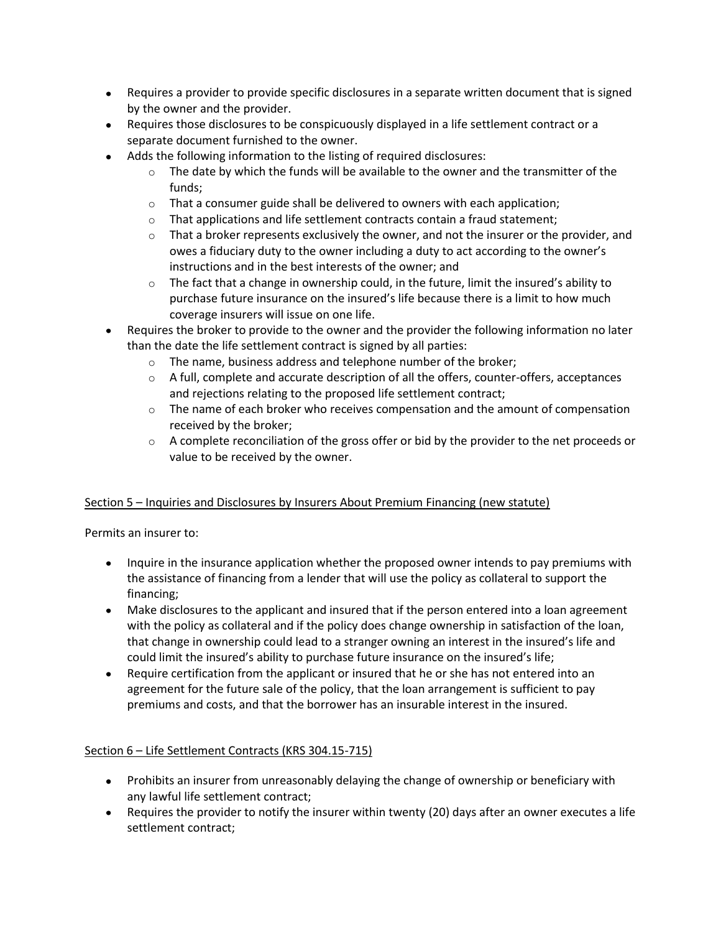- Requires a provider to provide specific disclosures in a separate written document that is signed by the owner and the provider.
- Requires those disclosures to be conspicuously displayed in a life settlement contract or a separate document furnished to the owner.
- Adds the following information to the listing of required disclosures:
	- $\circ$  The date by which the funds will be available to the owner and the transmitter of the funds;
	- $\circ$  That a consumer guide shall be delivered to owners with each application;
	- $\circ$  That applications and life settlement contracts contain a fraud statement;
	- $\circ$  That a broker represents exclusively the owner, and not the insurer or the provider, and owes a fiduciary duty to the owner including a duty to act according to the owner's instructions and in the best interests of the owner; and
	- $\circ$  The fact that a change in ownership could, in the future, limit the insured's ability to purchase future insurance on the insured's life because there is a limit to how much coverage insurers will issue on one life.
- Requires the broker to provide to the owner and the provider the following information no later than the date the life settlement contract is signed by all parties:
	- o The name, business address and telephone number of the broker;
	- $\circ$  A full, complete and accurate description of all the offers, counter-offers, acceptances and rejections relating to the proposed life settlement contract;
	- $\circ$  The name of each broker who receives compensation and the amount of compensation received by the broker;
	- $\circ$  A complete reconciliation of the gross offer or bid by the provider to the net proceeds or value to be received by the owner.

# Section 5 – Inquiries and Disclosures by Insurers About Premium Financing (new statute)

Permits an insurer to:

- Inquire in the insurance application whether the proposed owner intends to pay premiums with the assistance of financing from a lender that will use the policy as collateral to support the financing;
- Make disclosures to the applicant and insured that if the person entered into a loan agreement with the policy as collateral and if the policy does change ownership in satisfaction of the loan, that change in ownership could lead to a stranger owning an interest in the insured's life and could limit the insured's ability to purchase future insurance on the insured's life;
- Require certification from the applicant or insured that he or she has not entered into an agreement for the future sale of the policy, that the loan arrangement is sufficient to pay premiums and costs, and that the borrower has an insurable interest in the insured.

# Section 6 - Life Settlement Contracts (KRS 304.15-715)

- Prohibits an insurer from unreasonably delaying the change of ownership or beneficiary with any lawful life settlement contract;
- Requires the provider to notify the insurer within twenty (20) days after an owner executes a life settlement contract;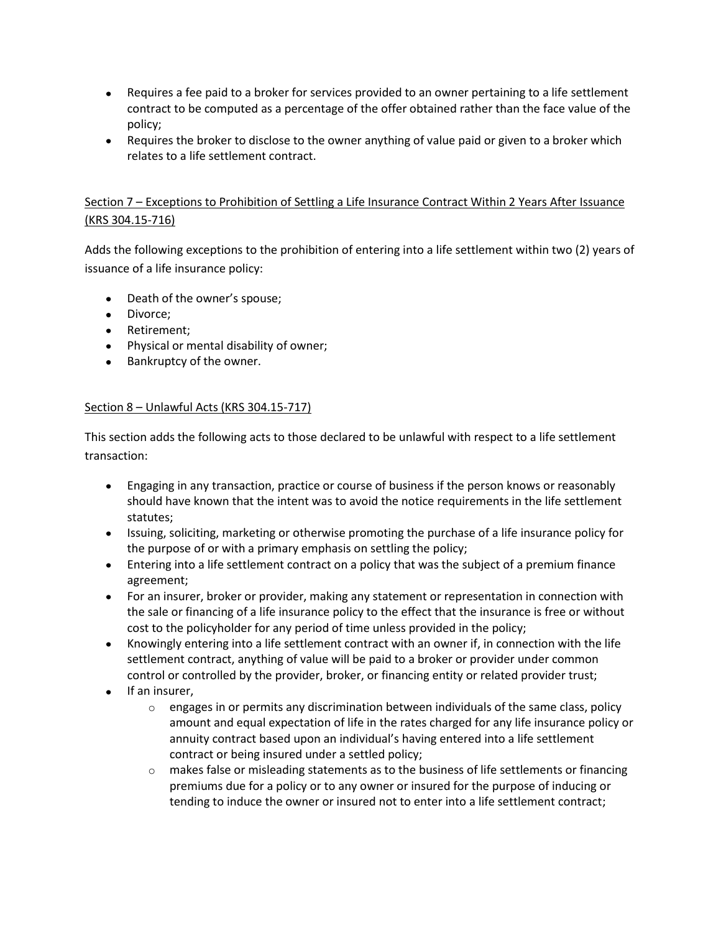- Requires a fee paid to a broker for services provided to an owner pertaining to a life settlement contract to be computed as a percentage of the offer obtained rather than the face value of the policy;
- Requires the broker to disclose to the owner anything of value paid or given to a broker which relates to a life settlement contract.

# Section 7 – Exceptions to Prohibition of Settling a Life Insurance Contract Within 2 Years After Issuance (KRS 304.15-716)

Adds the following exceptions to the prohibition of entering into a life settlement within two (2) years of issuance of a life insurance policy:

- Death of the owner's spouse;
- Divorce:
- Retirement:
- Physical or mental disability of owner;
- Bankruptcy of the owner.

## Section 8 – Unlawful Acts (KRS 304.15-717)

This section adds the following acts to those declared to be unlawful with respect to a life settlement transaction:

- Engaging in any transaction, practice or course of business if the person knows or reasonably should have known that the intent was to avoid the notice requirements in the life settlement statutes;
- Issuing, soliciting, marketing or otherwise promoting the purchase of a life insurance policy for the purpose of or with a primary emphasis on settling the policy;
- Entering into a life settlement contract on a policy that was the subject of a premium finance agreement;
- For an insurer, broker or provider, making any statement or representation in connection with the sale or financing of a life insurance policy to the effect that the insurance is free or without cost to the policyholder for any period of time unless provided in the policy;
- Knowingly entering into a life settlement contract with an owner if, in connection with the life settlement contract, anything of value will be paid to a broker or provider under common control or controlled by the provider, broker, or financing entity or related provider trust;
- $\bullet$  If an insurer,
	- $\circ$  engages in or permits any discrimination between individuals of the same class, policy amount and equal expectation of life in the rates charged for any life insurance policy or annuity contract based upon an individual's having entered into a life settlement contract or being insured under a settled policy;
	- $\circ$  makes false or misleading statements as to the business of life settlements or financing premiums due for a policy or to any owner or insured for the purpose of inducing or tending to induce the owner or insured not to enter into a life settlement contract;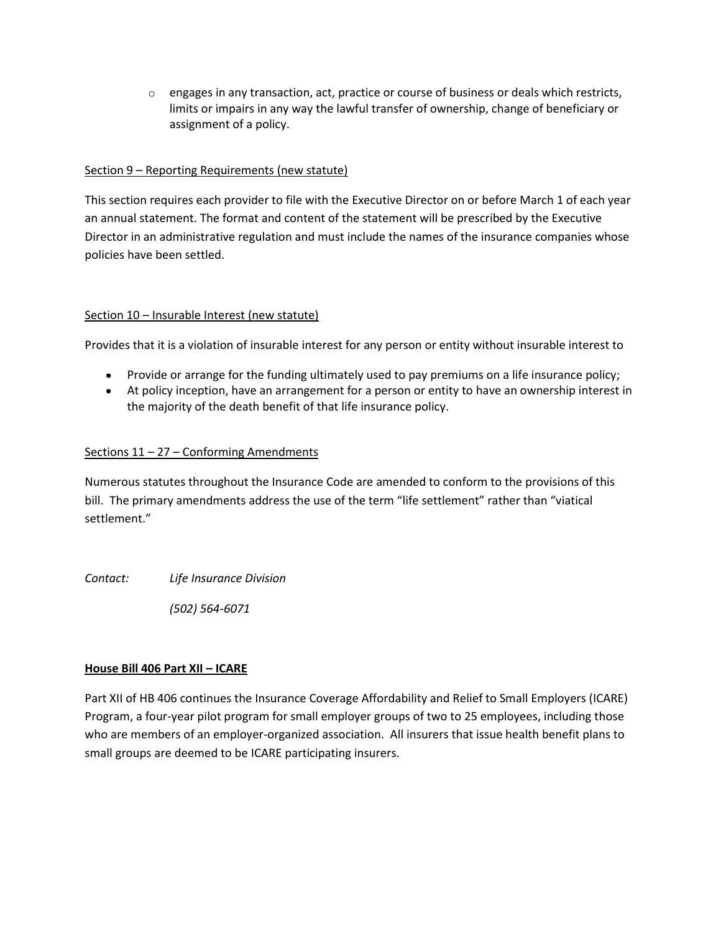$\circ$  engages in any transaction, act, practice or course of business or deals which restricts, limits or impairs in any way the lawful transfer of ownership, change of beneficiary or assignment of a policy.

## Section 9 – Reporting Requirements (new statute)

This section requires each provider to file with the Executive Director on or before March 1 of each year an annual statement. The format and content of the statement will be prescribed by the Executive Director in an administrative regulation and must include the names of the insurance companies whose policies have been settled.

## Section 10 – Insurable Interest (new statute)

Provides that it is a violation of insurable interest for any person or entity without insurable interest to

- Provide or arrange for the funding ultimately used to pay premiums on a life insurance policy;
- At policy inception, have an arrangement for a person or entity to have an ownership interest in the majority of the death benefit of that life insurance policy.

## Sections 11 – 27 – Conforming Amendments

Numerous statutes throughout the Insurance Code are amended to conform to the provisions of this bill. The primary amendments address the use of the term "life settlement" rather than "viatical settlement."

*Contact: Life Insurance Division*

*(502) 564-6071*

### **House Bill 406 Part XII – ICARE**

Part XII of HB 406 continues the Insurance Coverage Affordability and Relief to Small Employers (ICARE) Program, a four-year pilot program for small employer groups of two to 25 employees, including those who are members of an employer-organized association. All insurers that issue health benefit plans to small groups are deemed to be ICARE participating insurers.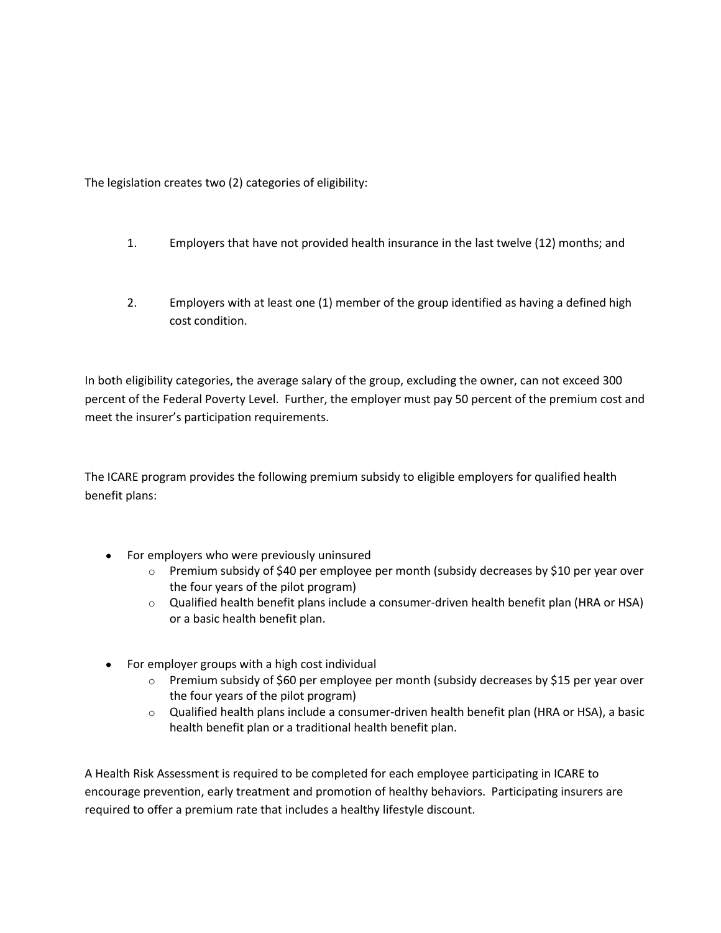The legislation creates two (2) categories of eligibility:

- 1. Employers that have not provided health insurance in the last twelve (12) months; and
- 2. Employers with at least one (1) member of the group identified as having a defined high cost condition.

In both eligibility categories, the average salary of the group, excluding the owner, can not exceed 300 percent of the Federal Poverty Level. Further, the employer must pay 50 percent of the premium cost and meet the insurer's participation requirements.

The ICARE program provides the following premium subsidy to eligible employers for qualified health benefit plans:

- For employers who were previously uninsured
	- $\circ$  Premium subsidy of \$40 per employee per month (subsidy decreases by \$10 per year over the four years of the pilot program)
	- o Qualified health benefit plans include a consumer-driven health benefit plan (HRA or HSA) or a basic health benefit plan.
- For employer groups with a high cost individual
	- o Premium subsidy of \$60 per employee per month (subsidy decreases by \$15 per year over the four years of the pilot program)
	- $\circ$  Qualified health plans include a consumer-driven health benefit plan (HRA or HSA), a basic health benefit plan or a traditional health benefit plan.

A Health Risk Assessment is required to be completed for each employee participating in ICARE to encourage prevention, early treatment and promotion of healthy behaviors. Participating insurers are required to offer a premium rate that includes a healthy lifestyle discount.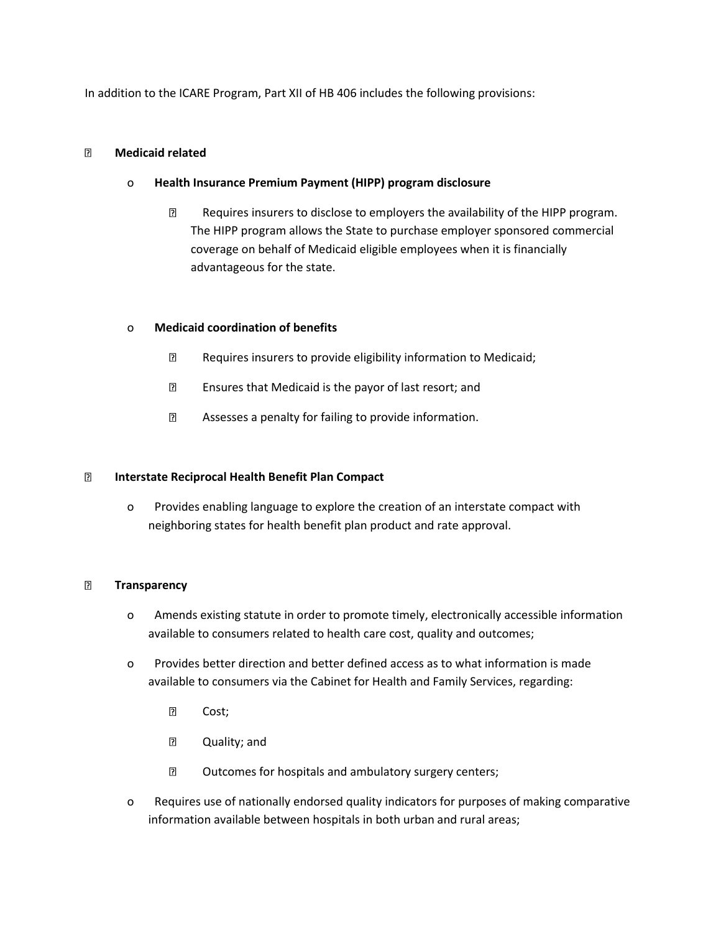In addition to the ICARE Program, Part XII of HB 406 includes the following provisions:

#### **Medicaid related**

### o **Health Insurance Premium Payment (HIPP) program disclosure**

**Requires insurers to disclose to employers the availability of the HIPP program.** The HIPP program allows the State to purchase employer sponsored commercial coverage on behalf of Medicaid eligible employees when it is financially advantageous for the state.

### o **Medicaid coordination of benefits**

- **Requires insurers to provide eligibility information to Medicaid;**
- **Ensures that Medicaid is the payor of last resort; and**
- Assesses a penalty for failing to provide information.

### **Interstate Reciprocal Health Benefit Plan Compact**

o Provides enabling language to explore the creation of an interstate compact with neighboring states for health benefit plan product and rate approval.

#### **Transparency**

- o Amends existing statute in order to promote timely, electronically accessible information available to consumers related to health care cost, quality and outcomes;
- o Provides better direction and better defined access as to what information is made available to consumers via the Cabinet for Health and Family Services, regarding:
	- **P** Cost;
	- **2 Quality**; and
	- **D** Outcomes for hospitals and ambulatory surgery centers;
- o Requires use of nationally endorsed quality indicators for purposes of making comparative information available between hospitals in both urban and rural areas;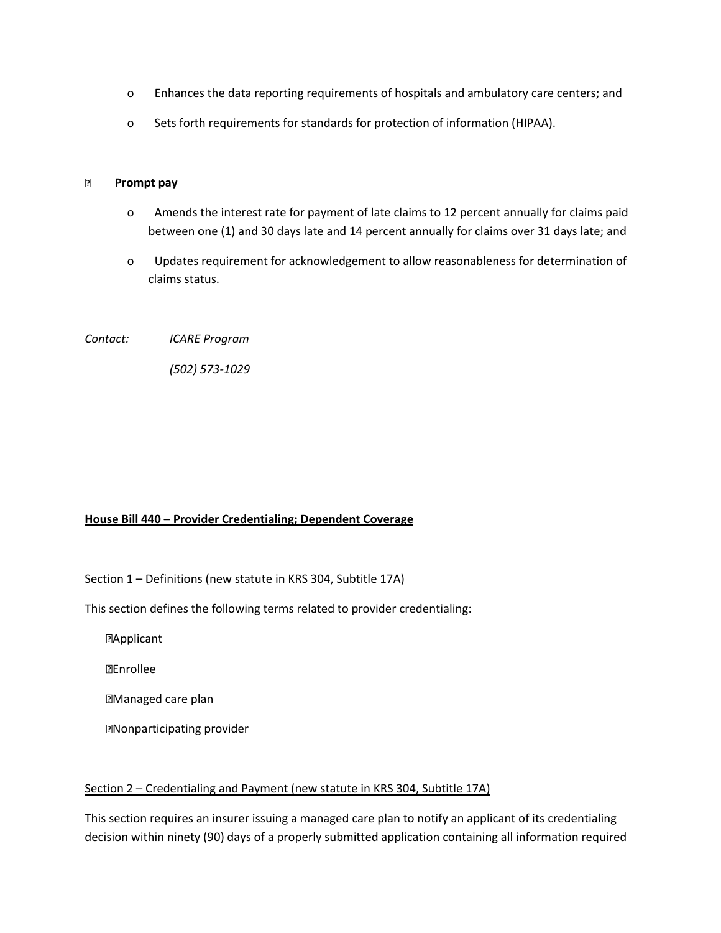- o Enhances the data reporting requirements of hospitals and ambulatory care centers; and
- o Sets forth requirements for standards for protection of information (HIPAA).

#### **Prompt pay**

- o Amends the interest rate for payment of late claims to 12 percent annually for claims paid between one (1) and 30 days late and 14 percent annually for claims over 31 days late; and
- o Updates requirement for acknowledgement to allow reasonableness for determination of claims status.

*Contact: ICARE Program*

*(502) 573-1029*

#### **House Bill 440 – Provider Credentialing; Dependent Coverage**

#### Section 1 – Definitions (new statute in KRS 304, Subtitle 17A)

This section defines the following terms related to provider credentialing:

**MApplicant** 

Enrollee

Managed care plan

Nonparticipating provider

#### Section 2 – Credentialing and Payment (new statute in KRS 304, Subtitle 17A)

This section requires an insurer issuing a managed care plan to notify an applicant of its credentialing decision within ninety (90) days of a properly submitted application containing all information required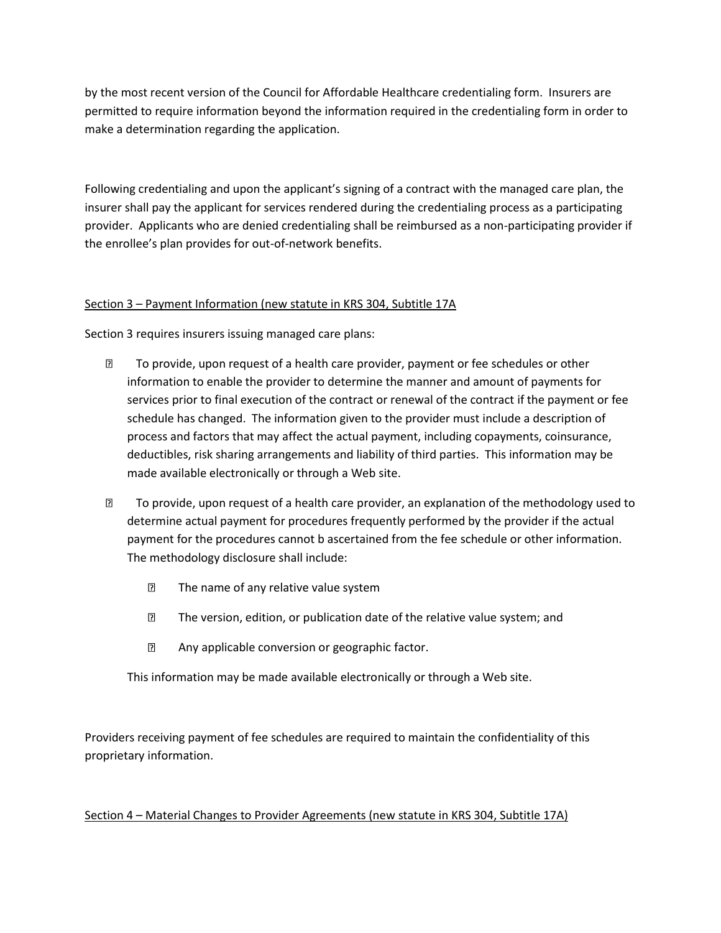by the most recent version of the Council for Affordable Healthcare credentialing form. Insurers are permitted to require information beyond the information required in the credentialing form in order to make a determination regarding the application.

Following credentialing and upon the applicant's signing of a contract with the managed care plan, the insurer shall pay the applicant for services rendered during the credentialing process as a participating provider. Applicants who are denied credentialing shall be reimbursed as a non-participating provider if the enrollee's plan provides for out-of-network benefits.

## Section 3 – Payment Information (new statute in KRS 304, Subtitle 17A

Section 3 requires insurers issuing managed care plans:

- To provide, upon request of a health care provider, payment or fee schedules or other information to enable the provider to determine the manner and amount of payments for services prior to final execution of the contract or renewal of the contract if the payment or fee schedule has changed. The information given to the provider must include a description of process and factors that may affect the actual payment, including copayments, coinsurance, deductibles, risk sharing arrangements and liability of third parties. This information may be made available electronically or through a Web site.
- To provide, upon request of a health care provider, an explanation of the methodology used to determine actual payment for procedures frequently performed by the provider if the actual payment for the procedures cannot b ascertained from the fee schedule or other information. The methodology disclosure shall include:
	- **The name of any relative value system**
	- **EXECUTE:** The version, edition, or publication date of the relative value system; and
	- Any applicable conversion or geographic factor.

This information may be made available electronically or through a Web site.

Providers receiving payment of fee schedules are required to maintain the confidentiality of this proprietary information.

### Section 4 – Material Changes to Provider Agreements (new statute in KRS 304, Subtitle 17A)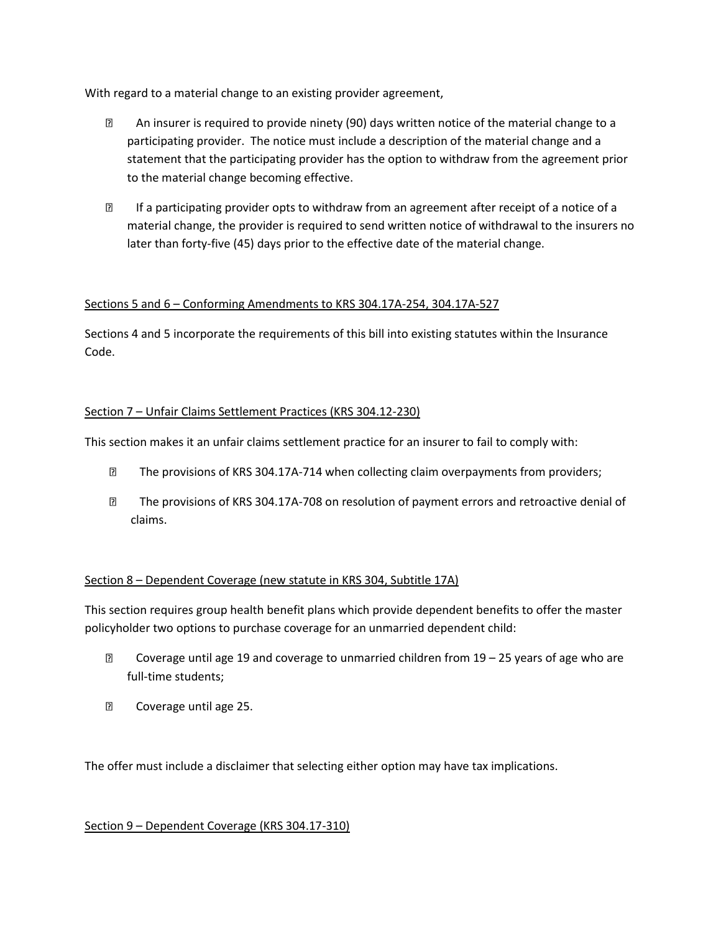With regard to a material change to an existing provider agreement,

- An insurer is required to provide ninety (90) days written notice of the material change to a participating provider. The notice must include a description of the material change and a statement that the participating provider has the option to withdraw from the agreement prior to the material change becoming effective.
- If a participating provider opts to withdraw from an agreement after receipt of a notice of a material change, the provider is required to send written notice of withdrawal to the insurers no later than forty-five (45) days prior to the effective date of the material change.

# Sections 5 and 6 – Conforming Amendments to KRS 304.17A-254, 304.17A-527

Sections 4 and 5 incorporate the requirements of this bill into existing statutes within the Insurance Code.

## Section 7 – Unfair Claims Settlement Practices (KRS 304.12-230)

This section makes it an unfair claims settlement practice for an insurer to fail to comply with:

- The provisions of KRS 304.17A-714 when collecting claim overpayments from providers;
- The provisions of KRS 304.17A-708 on resolution of payment errors and retroactive denial of claims.

### Section 8 – Dependent Coverage (new statute in KRS 304, Subtitle 17A)

This section requires group health benefit plans which provide dependent benefits to offer the master policyholder two options to purchase coverage for an unmarried dependent child:

- Coverage until age 19 and coverage to unmarried children from 19 25 years of age who are full-time students;
- **2** Coverage until age 25.

The offer must include a disclaimer that selecting either option may have tax implications.

### Section 9 – Dependent Coverage (KRS 304.17-310)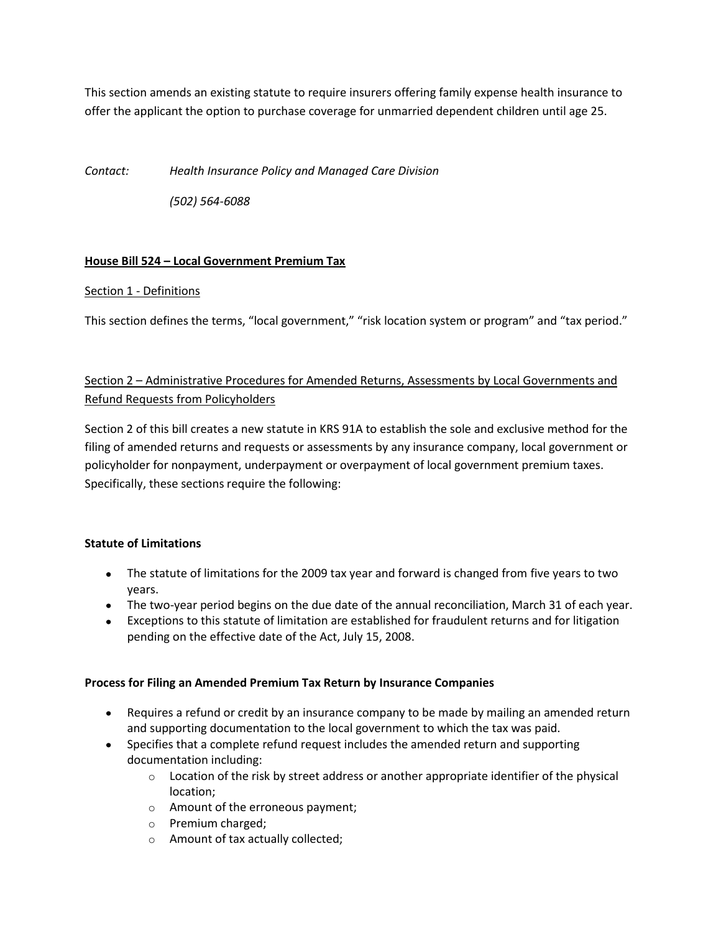This section amends an existing statute to require insurers offering family expense health insurance to offer the applicant the option to purchase coverage for unmarried dependent children until age 25.

*Contact: Health Insurance Policy and Managed Care Division*

*(502) 564-6088*

## **House Bill 524 – Local Government Premium Tax**

### Section 1 - Definitions

This section defines the terms, "local government," "risk location system or program" and "tax period."

# Section 2 – Administrative Procedures for Amended Returns, Assessments by Local Governments and Refund Requests from Policyholders

Section 2 of this bill creates a new statute in KRS 91A to establish the sole and exclusive method for the filing of amended returns and requests or assessments by any insurance company, local government or policyholder for nonpayment, underpayment or overpayment of local government premium taxes. Specifically, these sections require the following:

# **Statute of Limitations**

- The statute of limitations for the 2009 tax year and forward is changed from five years to two years.
- The two-year period begins on the due date of the annual reconciliation, March 31 of each year.
- Exceptions to this statute of limitation are established for fraudulent returns and for litigation pending on the effective date of the Act, July 15, 2008.

### **Process for Filing an Amended Premium Tax Return by Insurance Companies**

- Requires a refund or credit by an insurance company to be made by mailing an amended return and supporting documentation to the local government to which the tax was paid.
- Specifies that a complete refund request includes the amended return and supporting documentation including:
	- $\circ$  Location of the risk by street address or another appropriate identifier of the physical location;
	- o Amount of the erroneous payment;
	- o Premium charged;
	- o Amount of tax actually collected;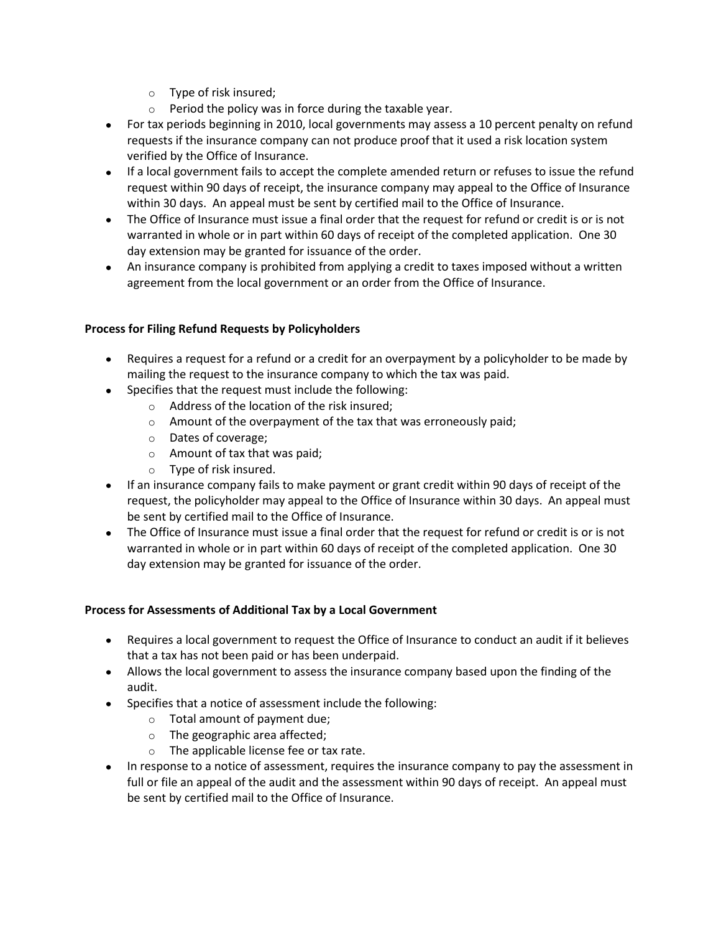- o Type of risk insured;
- o Period the policy was in force during the taxable year.
- For tax periods beginning in 2010, local governments may assess a 10 percent penalty on refund requests if the insurance company can not produce proof that it used a risk location system verified by the Office of Insurance.
- If a local government fails to accept the complete amended return or refuses to issue the refund request within 90 days of receipt, the insurance company may appeal to the Office of Insurance within 30 days. An appeal must be sent by certified mail to the Office of Insurance.
- The Office of Insurance must issue a final order that the request for refund or credit is or is not warranted in whole or in part within 60 days of receipt of the completed application. One 30 day extension may be granted for issuance of the order.
- An insurance company is prohibited from applying a credit to taxes imposed without a written agreement from the local government or an order from the Office of Insurance.

# **Process for Filing Refund Requests by Policyholders**

- Requires a request for a refund or a credit for an overpayment by a policyholder to be made by mailing the request to the insurance company to which the tax was paid.
- Specifies that the request must include the following:
	- o Address of the location of the risk insured;
	- $\circ$  Amount of the overpayment of the tax that was erroneously paid;
	- o Dates of coverage;
	- o Amount of tax that was paid;
	- o Type of risk insured.
- If an insurance company fails to make payment or grant credit within 90 days of receipt of the request, the policyholder may appeal to the Office of Insurance within 30 days. An appeal must be sent by certified mail to the Office of Insurance.
- The Office of Insurance must issue a final order that the request for refund or credit is or is not warranted in whole or in part within 60 days of receipt of the completed application. One 30 day extension may be granted for issuance of the order.

### **Process for Assessments of Additional Tax by a Local Government**

- Requires a local government to request the Office of Insurance to conduct an audit if it believes that a tax has not been paid or has been underpaid.
- Allows the local government to assess the insurance company based upon the finding of the audit.
- Specifies that a notice of assessment include the following:
	- o Total amount of payment due;
	- o The geographic area affected;
	- o The applicable license fee or tax rate.
- In response to a notice of assessment, requires the insurance company to pay the assessment in full or file an appeal of the audit and the assessment within 90 days of receipt. An appeal must be sent by certified mail to the Office of Insurance.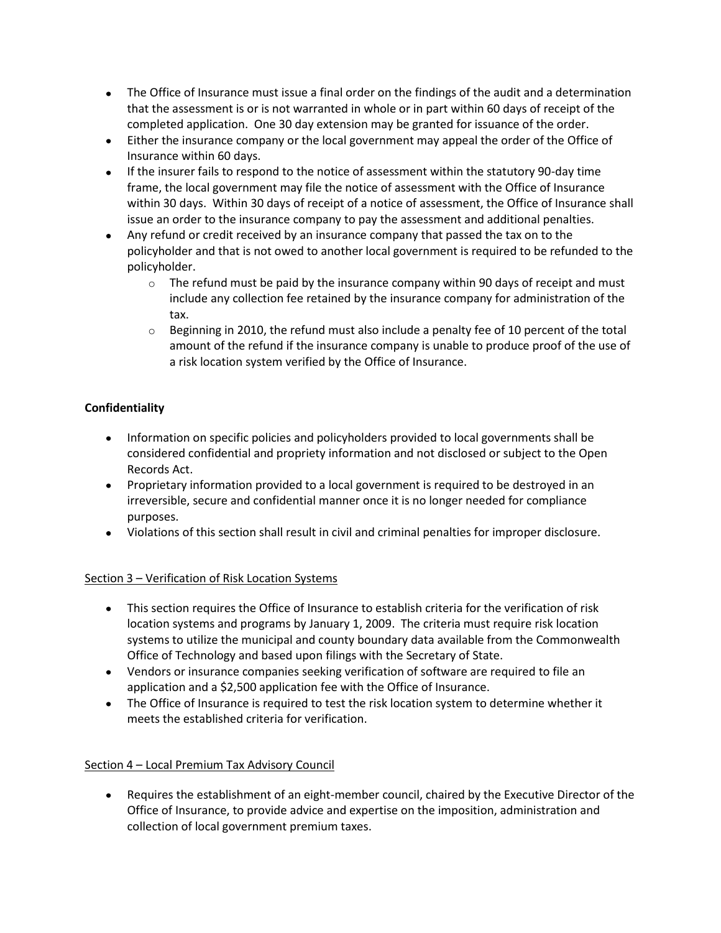- The Office of Insurance must issue a final order on the findings of the audit and a determination that the assessment is or is not warranted in whole or in part within 60 days of receipt of the completed application. One 30 day extension may be granted for issuance of the order.
- Either the insurance company or the local government may appeal the order of the Office of Insurance within 60 days.
- If the insurer fails to respond to the notice of assessment within the statutory 90-day time frame, the local government may file the notice of assessment with the Office of Insurance within 30 days. Within 30 days of receipt of a notice of assessment, the Office of Insurance shall issue an order to the insurance company to pay the assessment and additional penalties.
- Any refund or credit received by an insurance company that passed the tax on to the policyholder and that is not owed to another local government is required to be refunded to the policyholder.
	- $\circ$  The refund must be paid by the insurance company within 90 days of receipt and must include any collection fee retained by the insurance company for administration of the tax.
	- $\circ$  Beginning in 2010, the refund must also include a penalty fee of 10 percent of the total amount of the refund if the insurance company is unable to produce proof of the use of a risk location system verified by the Office of Insurance.

# **Confidentiality**

- Information on specific policies and policyholders provided to local governments shall be considered confidential and propriety information and not disclosed or subject to the Open Records Act.
- Proprietary information provided to a local government is required to be destroyed in an irreversible, secure and confidential manner once it is no longer needed for compliance purposes.
- Violations of this section shall result in civil and criminal penalties for improper disclosure.

# Section 3 – Verification of Risk Location Systems

- This section requires the Office of Insurance to establish criteria for the verification of risk location systems and programs by January 1, 2009. The criteria must require risk location systems to utilize the municipal and county boundary data available from the Commonwealth Office of Technology and based upon filings with the Secretary of State.
- Vendors or insurance companies seeking verification of software are required to file an application and a \$2,500 application fee with the Office of Insurance.
- The Office of Insurance is required to test the risk location system to determine whether it meets the established criteria for verification.

# Section 4 – Local Premium Tax Advisory Council

Requires the establishment of an eight-member council, chaired by the Executive Director of the Office of Insurance, to provide advice and expertise on the imposition, administration and collection of local government premium taxes.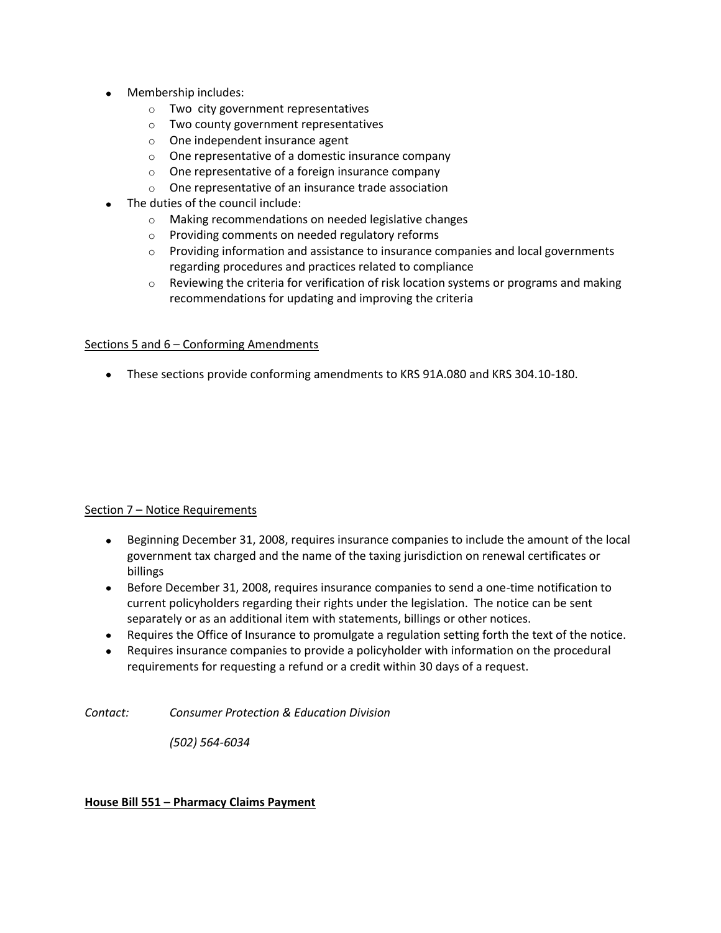- Membership includes:
	- o Two city government representatives
	- o Two county government representatives
	- o One independent insurance agent
	- o One representative of a domestic insurance company
	- o One representative of a foreign insurance company
	- o One representative of an insurance trade association
- The duties of the council include:
	- o Making recommendations on needed legislative changes
	- o Providing comments on needed regulatory reforms
	- $\circ$  Providing information and assistance to insurance companies and local governments regarding procedures and practices related to compliance
	- $\circ$  Reviewing the criteria for verification of risk location systems or programs and making recommendations for updating and improving the criteria

#### Sections 5 and 6 – Conforming Amendments

These sections provide conforming amendments to KRS 91A.080 and KRS 304.10-180.

### Section 7 – Notice Requirements

- Beginning December 31, 2008, requires insurance companies to include the amount of the local government tax charged and the name of the taxing jurisdiction on renewal certificates or billings
- Before December 31, 2008, requires insurance companies to send a one-time notification to current policyholders regarding their rights under the legislation. The notice can be sent separately or as an additional item with statements, billings or other notices.
- Requires the Office of Insurance to promulgate a regulation setting forth the text of the notice.
- Requires insurance companies to provide a policyholder with information on the procedural  $\bullet$ requirements for requesting a refund or a credit within 30 days of a request.

*Contact: Consumer Protection & Education Division*

*(502) 564-6034*

### **House Bill 551 – Pharmacy Claims Payment**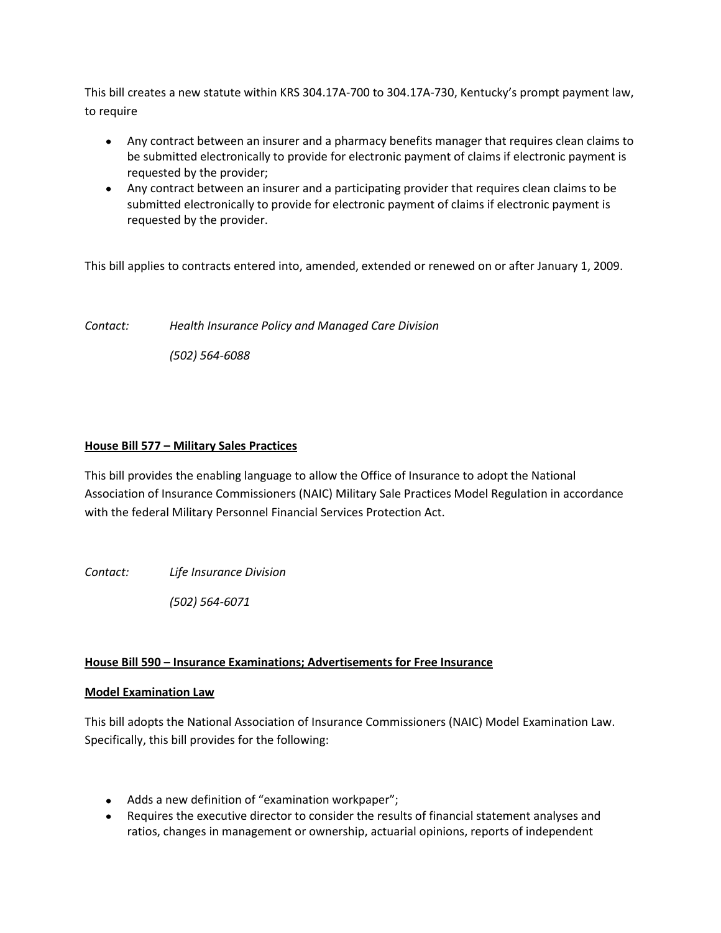This bill creates a new statute within KRS 304.17A-700 to 304.17A-730, Kentucky's prompt payment law, to require

- Any contract between an insurer and a pharmacy benefits manager that requires clean claims to be submitted electronically to provide for electronic payment of claims if electronic payment is requested by the provider;
- Any contract between an insurer and a participating provider that requires clean claims to be submitted electronically to provide for electronic payment of claims if electronic payment is requested by the provider.

This bill applies to contracts entered into, amended, extended or renewed on or after January 1, 2009.

*Contact: Health Insurance Policy and Managed Care Division*

*(502) 564-6088*

### **House Bill 577 – Military Sales Practices**

This bill provides the enabling language to allow the Office of Insurance to adopt the National Association of Insurance Commissioners (NAIC) Military Sale Practices Model Regulation in accordance with the federal Military Personnel Financial Services Protection Act.

*Contact: Life Insurance Division*

*(502) 564-6071*

### **House Bill 590 – Insurance Examinations; Advertisements for Free Insurance**

#### **Model Examination Law**

This bill adopts the National Association of Insurance Commissioners (NAIC) Model Examination Law. Specifically, this bill provides for the following:

- Adds a new definition of "examination workpaper";
- Requires the executive director to consider the results of financial statement analyses and ratios, changes in management or ownership, actuarial opinions, reports of independent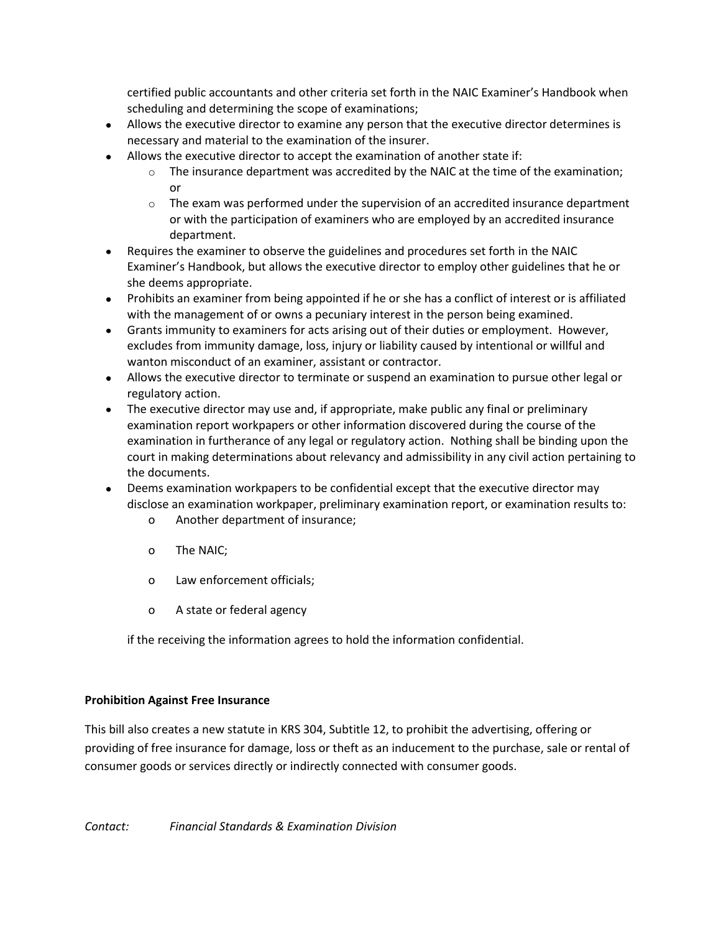certified public accountants and other criteria set forth in the NAIC Examiner's Handbook when scheduling and determining the scope of examinations;

- Allows the executive director to examine any person that the executive director determines is necessary and material to the examination of the insurer.
- Allows the executive director to accept the examination of another state if:
	- $\circ$  The insurance department was accredited by the NAIC at the time of the examination; or
	- $\circ$  The exam was performed under the supervision of an accredited insurance department or with the participation of examiners who are employed by an accredited insurance department.
- Requires the examiner to observe the guidelines and procedures set forth in the NAIC Examiner's Handbook, but allows the executive director to employ other guidelines that he or she deems appropriate.
- Prohibits an examiner from being appointed if he or she has a conflict of interest or is affiliated with the management of or owns a pecuniary interest in the person being examined.
- Grants immunity to examiners for acts arising out of their duties or employment. However, excludes from immunity damage, loss, injury or liability caused by intentional or willful and wanton misconduct of an examiner, assistant or contractor.
- Allows the executive director to terminate or suspend an examination to pursue other legal or regulatory action.
- The executive director may use and, if appropriate, make public any final or preliminary examination report workpapers or other information discovered during the course of the examination in furtherance of any legal or regulatory action. Nothing shall be binding upon the court in making determinations about relevancy and admissibility in any civil action pertaining to the documents.
- Deems examination workpapers to be confidential except that the executive director may disclose an examination workpaper, preliminary examination report, or examination results to:
	- o Another department of insurance;
	- o The NAIC;
	- o Law enforcement officials;
	- o A state or federal agency

if the receiving the information agrees to hold the information confidential.

# **Prohibition Against Free Insurance**

This bill also creates a new statute in KRS 304, Subtitle 12, to prohibit the advertising, offering or providing of free insurance for damage, loss or theft as an inducement to the purchase, sale or rental of consumer goods or services directly or indirectly connected with consumer goods.

*Contact: Financial Standards & Examination Division*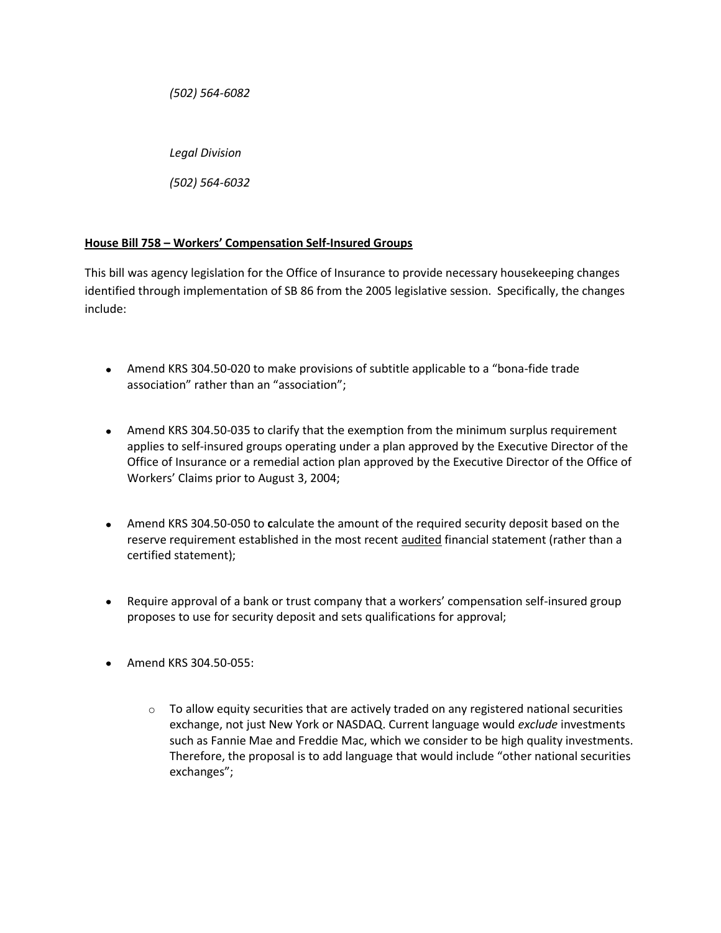*(502) 564-6082*

*Legal Division*

*(502) 564-6032*

# **House Bill 758 – Workers' Compensation Self-Insured Groups**

This bill was agency legislation for the Office of Insurance to provide necessary housekeeping changes identified through implementation of SB 86 from the 2005 legislative session. Specifically, the changes include:

- Amend KRS 304.50-020 to make provisions of subtitle applicable to a "bona-fide trade association" rather than an "association";
- Amend KRS 304.50-035 to clarify that the exemption from the minimum surplus requirement applies to self-insured groups operating under a plan approved by the Executive Director of the Office of Insurance or a remedial action plan approved by the Executive Director of the Office of Workers' Claims prior to August 3, 2004;
- Amend KRS 304.50-050 to **c**alculate the amount of the required security deposit based on the reserve requirement established in the most recent audited financial statement (rather than a certified statement);
- Require approval of a bank or trust company that a workers' compensation self-insured group proposes to use for security deposit and sets qualifications for approval;
- Amend KRS 304.50-055:
	- $\circ$  To allow equity securities that are actively traded on any registered national securities exchange, not just New York or NASDAQ. Current language would *exclude* investments such as Fannie Mae and Freddie Mac, which we consider to be high quality investments. Therefore, the proposal is to add language that would include "other national securities exchanges";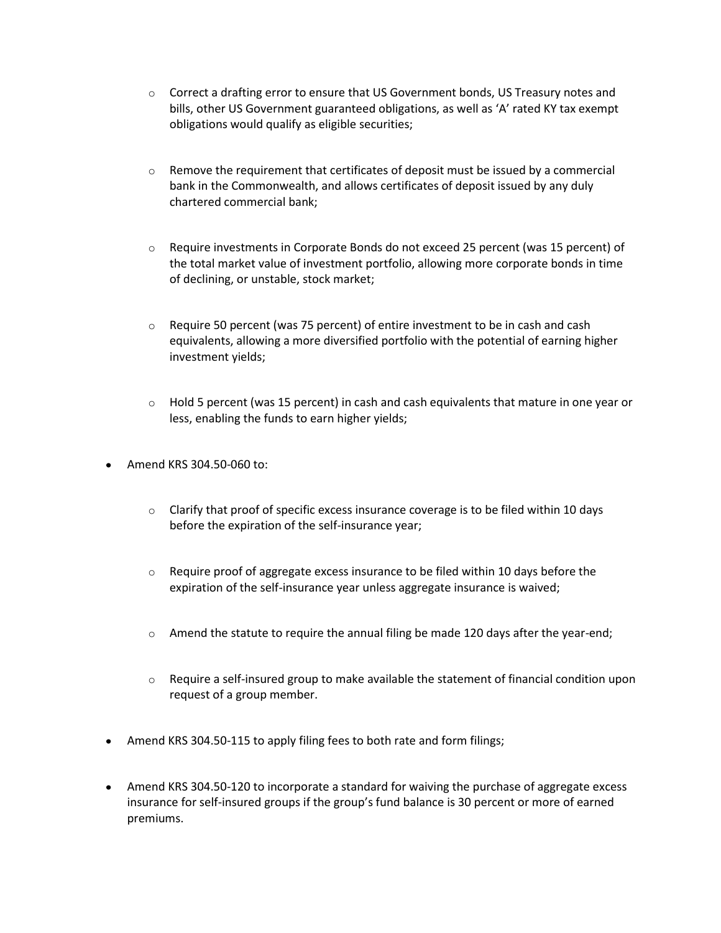- $\circ$  Correct a drafting error to ensure that US Government bonds, US Treasury notes and bills, other US Government guaranteed obligations, as well as 'A' rated KY tax exempt obligations would qualify as eligible securities;
- $\circ$  Remove the requirement that certificates of deposit must be issued by a commercial bank in the Commonwealth, and allows certificates of deposit issued by any duly chartered commercial bank;
- $\circ$  Require investments in Corporate Bonds do not exceed 25 percent (was 15 percent) of the total market value of investment portfolio, allowing more corporate bonds in time of declining, or unstable, stock market;
- $\circ$  Require 50 percent (was 75 percent) of entire investment to be in cash and cash equivalents, allowing a more diversified portfolio with the potential of earning higher investment yields;
- $\circ$  Hold 5 percent (was 15 percent) in cash and cash equivalents that mature in one year or less, enabling the funds to earn higher yields;
- Amend KRS 304.50-060 to:
	- $\circ$  Clarify that proof of specific excess insurance coverage is to be filed within 10 days before the expiration of the self-insurance year;
	- $\circ$  Require proof of aggregate excess insurance to be filed within 10 days before the expiration of the self-insurance year unless aggregate insurance is waived;
	- $\circ$  Amend the statute to require the annual filing be made 120 days after the year-end;
	- $\circ$  Require a self-insured group to make available the statement of financial condition upon request of a group member.
- Amend KRS 304.50-115 to apply filing fees to both rate and form filings;
- Amend KRS 304.50-120 to incorporate a standard for waiving the purchase of aggregate excess insurance for self-insured groups if the group's fund balance is 30 percent or more of earned premiums.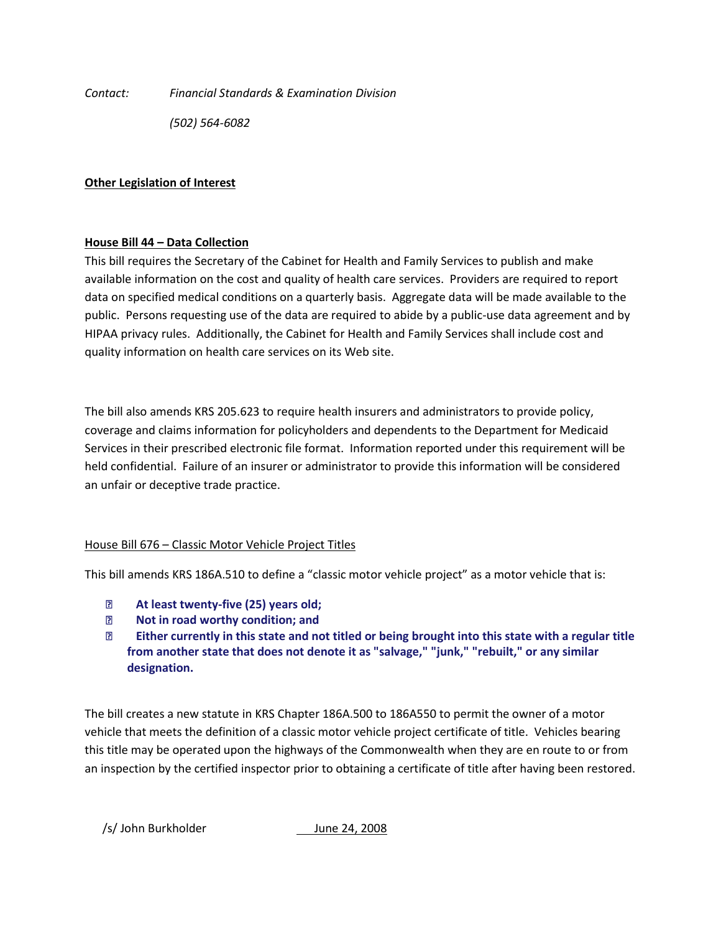*Contact: Financial Standards & Examination Division*

*(502) 564-6082*

## **Other Legislation of Interest**

## **House Bill 44 – Data Collection**

This bill requires the Secretary of the Cabinet for Health and Family Services to publish and make available information on the cost and quality of health care services. Providers are required to report data on specified medical conditions on a quarterly basis. Aggregate data will be made available to the public. Persons requesting use of the data are required to abide by a public-use data agreement and by HIPAA privacy rules. Additionally, the Cabinet for Health and Family Services shall include cost and quality information on health care services on its Web site.

The bill also amends KRS 205.623 to require health insurers and administrators to provide policy, coverage and claims information for policyholders and dependents to the Department for Medicaid Services in their prescribed electronic file format. Information reported under this requirement will be held confidential. Failure of an insurer or administrator to provide this information will be considered an unfair or deceptive trade practice.

### House Bill 676 – Classic Motor Vehicle Project Titles

This bill amends KRS 186A.510 to define a "classic motor vehicle project" as a motor vehicle that is:

- **At least twenty-five (25) years old;**
- **Not in road worthy condition; and**
- **Either currently in this state and not titled or being brought into this state with a regular title from another state that does not denote it as "salvage," "junk," "rebuilt," or any similar designation.**

The bill creates a new statute in KRS Chapter 186A.500 to 186A550 to permit the owner of a motor vehicle that meets the definition of a classic motor vehicle project certificate of title. Vehicles bearing this title may be operated upon the highways of the Commonwealth when they are en route to or from an inspection by the certified inspector prior to obtaining a certificate of title after having been restored.